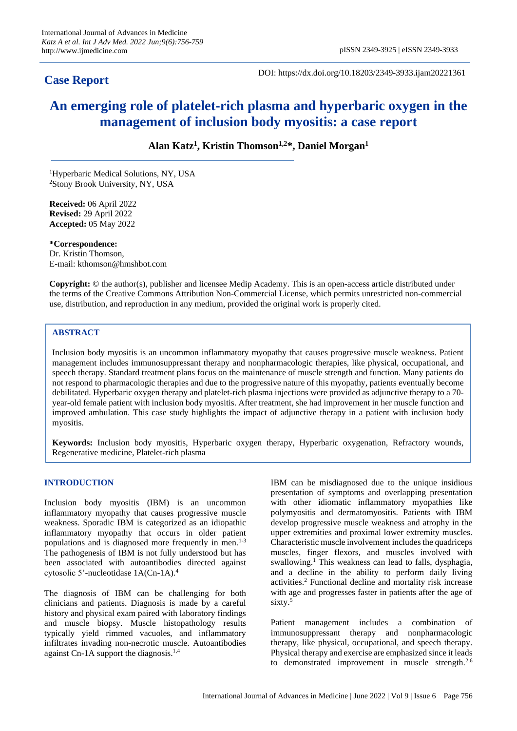## **Case Report**

DOI: https://dx.doi.org/10.18203/2349-3933.ijam20221361

# **An emerging role of platelet-rich plasma and hyperbaric oxygen in the management of inclusion body myositis: a case report**

**Alan Katz<sup>1</sup> , Kristin Thomson1,2\*, Daniel Morgan<sup>1</sup>**

<sup>1</sup>Hyperbaric Medical Solutions, NY, USA <sup>2</sup>Stony Brook University, NY, USA

**Received:** 06 April 2022 **Revised:** 29 April 2022 **Accepted:** 05 May 2022

**\*Correspondence:** Dr. Kristin Thomson, E-mail: kthomson@hmshbot.com

**Copyright:** © the author(s), publisher and licensee Medip Academy. This is an open-access article distributed under the terms of the Creative Commons Attribution Non-Commercial License, which permits unrestricted non-commercial use, distribution, and reproduction in any medium, provided the original work is properly cited.

### **ABSTRACT**

Inclusion body myositis is an uncommon inflammatory myopathy that causes progressive muscle weakness. Patient management includes immunosuppressant therapy and nonpharmacologic therapies, like physical, occupational, and speech therapy. Standard treatment plans focus on the maintenance of muscle strength and function. Many patients do not respond to pharmacologic therapies and due to the progressive nature of this myopathy, patients eventually become debilitated. Hyperbaric oxygen therapy and platelet-rich plasma injections were provided as adjunctive therapy to a 70 year-old female patient with inclusion body myositis. After treatment, she had improvement in her muscle function and improved ambulation. This case study highlights the impact of adjunctive therapy in a patient with inclusion body myositis.

**Keywords:** Inclusion body myositis, Hyperbaric oxygen therapy, Hyperbaric oxygenation, Refractory wounds, Regenerative medicine, Platelet-rich plasma

#### **INTRODUCTION**

Inclusion body myositis (IBM) is an uncommon inflammatory myopathy that causes progressive muscle weakness. Sporadic IBM is categorized as an idiopathic inflammatory myopathy that occurs in older patient populations and is diagnosed more frequently in men.<sup>1-3</sup> The pathogenesis of IBM is not fully understood but has been associated with autoantibodies directed against cytosolic 5'-nucleotidase 1A(Cn-1A).<sup>4</sup>

The diagnosis of IBM can be challenging for both clinicians and patients. Diagnosis is made by a careful history and physical exam paired with laboratory findings and muscle biopsy. Muscle histopathology results typically yield rimmed vacuoles, and inflammatory infiltrates invading non-necrotic muscle. Autoantibodies against Cn-1A support the diagnosis.<sup>1,4</sup>

IBM can be misdiagnosed due to the unique insidious presentation of symptoms and overlapping presentation with other idiomatic inflammatory myopathies like polymyositis and dermatomyositis. Patients with IBM develop progressive muscle weakness and atrophy in the upper extremities and proximal lower extremity muscles. Characteristic muscle involvement includes the quadriceps muscles, finger flexors, and muscles involved with swallowing.<sup>1</sup> This weakness can lead to falls, dysphagia, and a decline in the ability to perform daily living activities.<sup>2</sup> Functional decline and mortality risk increase with age and progresses faster in patients after the age of sixty.<sup>5</sup>

Patient management includes a combination of immunosuppressant therapy and nonpharmacologic therapy, like physical, occupational, and speech therapy. Physical therapy and exercise are emphasized since it leads to demonstrated improvement in muscle strength.<sup>2,6</sup>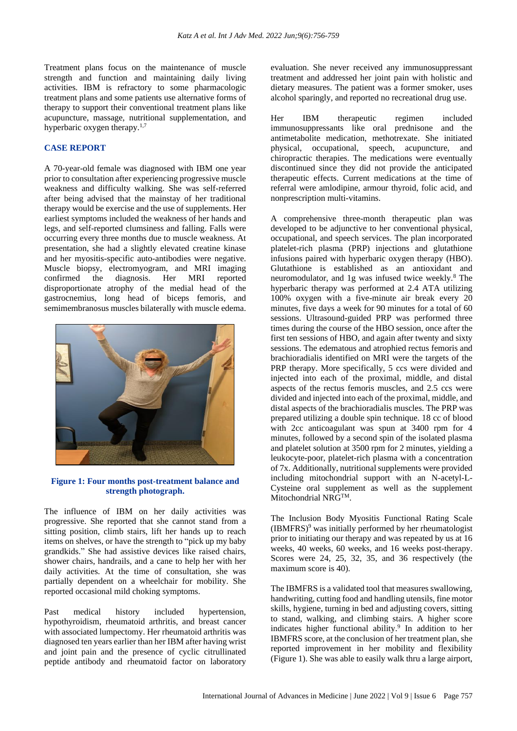Treatment plans focus on the maintenance of muscle strength and function and maintaining daily living activities. IBM is refractory to some pharmacologic treatment plans and some patients use alternative forms of therapy to support their conventional treatment plans like acupuncture, massage, nutritional supplementation, and hyperbaric oxygen therapy.<sup>1,7</sup>

#### **CASE REPORT**

A 70-year-old female was diagnosed with IBM one year prior to consultation after experiencing progressive muscle weakness and difficulty walking. She was self-referred after being advised that the mainstay of her traditional therapy would be exercise and the use of supplements. Her earliest symptoms included the weakness of her hands and legs, and self-reported clumsiness and falling. Falls were occurring every three months due to muscle weakness. At presentation, she had a slightly elevated creatine kinase and her myositis-specific auto-antibodies were negative. Muscle biopsy, electromyogram, and MRI imaging confirmed the diagnosis. Her MRI reported disproportionate atrophy of the medial head of the gastrocnemius, long head of biceps femoris, and semimembranosus muscles bilaterally with muscle edema.



**Figure 1: Four months post-treatment balance and strength photograph.**

The influence of IBM on her daily activities was progressive. She reported that she cannot stand from a sitting position, climb stairs, lift her hands up to reach items on shelves, or have the strength to "pick up my baby grandkids." She had assistive devices like raised chairs, shower chairs, handrails, and a cane to help her with her daily activities. At the time of consultation, she was partially dependent on a wheelchair for mobility. She reported occasional mild choking symptoms.

Past medical history included hypertension, hypothyroidism, rheumatoid arthritis, and breast cancer with associated lumpectomy. Her rheumatoid arthritis was diagnosed ten years earlier than her IBM after having wrist and joint pain and the presence of cyclic citrullinated peptide antibody and rheumatoid factor on laboratory evaluation. She never received any immunosuppressant treatment and addressed her joint pain with holistic and dietary measures. The patient was a former smoker, uses alcohol sparingly, and reported no recreational drug use.

Her IBM therapeutic regimen included immunosuppressants like oral prednisone and the antimetabolite medication, methotrexate. She initiated physical, occupational, speech, acupuncture, and chiropractic therapies. The medications were eventually discontinued since they did not provide the anticipated therapeutic effects. Current medications at the time of referral were amlodipine, armour thyroid, folic acid, and nonprescription multi-vitamins.

A comprehensive three-month therapeutic plan was developed to be adjunctive to her conventional physical, occupational, and speech services. The plan incorporated platelet-rich plasma (PRP) injections and glutathione infusions paired with hyperbaric oxygen therapy (HBO). Glutathione is established as an antioxidant and neuromodulator, and 1g was infused twice weekly.<sup>8</sup> The hyperbaric therapy was performed at 2.4 ATA utilizing 100% oxygen with a five-minute air break every 20 minutes, five days a week for 90 minutes for a total of 60 sessions. Ultrasound-guided PRP was performed three times during the course of the HBO session, once after the first ten sessions of HBO, and again after twenty and sixty sessions. The edematous and atrophied rectus femoris and brachioradialis identified on MRI were the targets of the PRP therapy. More specifically, 5 ccs were divided and injected into each of the proximal, middle, and distal aspects of the rectus femoris muscles, and 2.5 ccs were divided and injected into each of the proximal, middle, and distal aspects of the brachioradialis muscles. The PRP was prepared utilizing a double spin technique. 18 cc of blood with 2cc anticoagulant was spun at 3400 rpm for 4 minutes, followed by a second spin of the isolated plasma and platelet solution at 3500 rpm for 2 minutes, yielding a leukocyte-poor, platelet-rich plasma with a concentration of 7x. Additionally, nutritional supplements were provided including mitochondrial support with an N-acetyl-L-Cysteine oral supplement as well as the supplement Mitochondrial NRGTM.

The Inclusion Body Myositis Functional Rating Scale  $(IBMFRS)^9$  was initially performed by her rheumatologist prior to initiating our therapy and was repeated by us at 16 weeks, 40 weeks, 60 weeks, and 16 weeks post-therapy. Scores were 24, 25, 32, 35, and 36 respectively (the maximum score is 40).

The IBMFRS is a validated tool that measures swallowing, handwriting, cutting food and handling utensils, fine motor skills, hygiene, turning in bed and adjusting covers, sitting to stand, walking, and climbing stairs. A higher score indicates higher functional ability.<sup>9</sup> In addition to her IBMFRS score, at the conclusion of her treatment plan, she reported improvement in her mobility and flexibility (Figure 1). She was able to easily walk thru a large airport,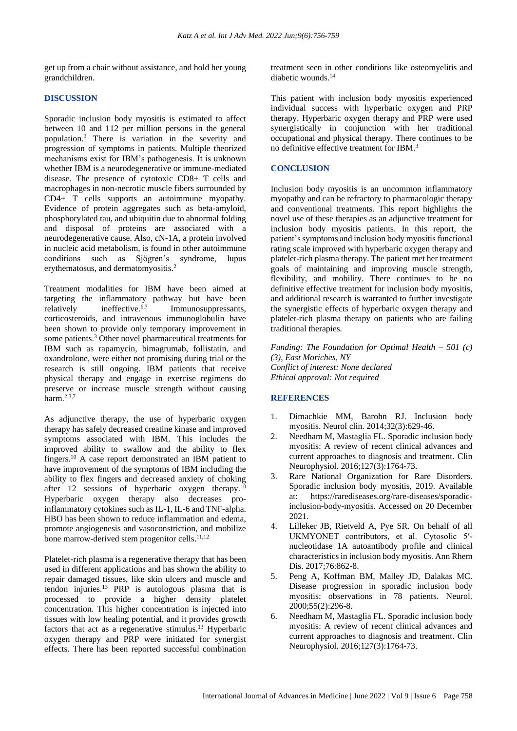get up from a chair without assistance, and hold her young grandchildren.

#### **DISCUSSION**

Sporadic inclusion body myositis is estimated to affect between 10 and 112 per million persons in the general population.<sup>3</sup> There is variation in the severity and progression of symptoms in patients. Multiple theorized mechanisms exist for IBM's pathogenesis. It is unknown whether IBM is a neurodegenerative or immune-mediated disease. The presence of cytotoxic CD8+ T cells and macrophages in non-necrotic muscle fibers surrounded by CD4+ T cells supports an autoimmune myopathy. Evidence of protein aggregates such as beta-amyloid, phosphorylated tau, and ubiquitin due to abnormal folding and disposal of proteins are associated with a neurodegenerative cause. Also, cN-1A, a protein involved in nucleic acid metabolism, is found in other autoimmune conditions such as Sjögren's syndrome, lupus erythematosus, and dermatomyositis.<sup>2</sup>

Treatment modalities for IBM have been aimed at targeting the inflammatory pathway but have been<br>relatively ineffective.<sup>6,7</sup> Immunosuppressants. relatively ineffective.<sup>6,7</sup> Immunosuppressants, corticosteroids, and intravenous immunoglobulin have been shown to provide only temporary improvement in some patients.<sup>3</sup> Other novel pharmaceutical treatments for IBM such as rapamycin, bimagrumab, follistatin, and oxandrolone, were either not promising during trial or the research is still ongoing. IBM patients that receive physical therapy and engage in exercise regimens do preserve or increase muscle strength without causing harm  $^{2,3,7}$ 

As adjunctive therapy, the use of hyperbaric oxygen therapy has safely decreased creatine kinase and improved symptoms associated with IBM. This includes the improved ability to swallow and the ability to flex fingers.<sup>10</sup> A case report demonstrated an IBM patient to have improvement of the symptoms of IBM including the ability to flex fingers and decreased anxiety of choking after 12 sessions of hyperbaric oxygen therapy.<sup>10</sup> Hyperbaric oxygen therapy also decreases proinflammatory cytokines such as IL-1, IL-6 and TNF-alpha. HBO has been shown to reduce inflammation and edema, promote angiogenesis and vasoconstriction, and mobilize bone marrow-derived stem progenitor cells.<sup>11,12</sup>

Platelet-rich plasma is a regenerative therapy that has been used in different applications and has shown the ability to repair damaged tissues, like skin ulcers and muscle and tendon injuries.<sup>13</sup> PRP is autologous plasma that is processed to provide a higher density platelet concentration. This higher concentration is injected into tissues with low healing potential, and it provides growth factors that act as a regenerative stimulus.<sup>13</sup> Hyperbaric oxygen therapy and PRP were initiated for synergist effects. There has been reported successful combination treatment seen in other conditions like osteomyelitis and diabetic wounds.<sup>14</sup>

This patient with inclusion body myositis experienced individual success with hyperbaric oxygen and PRP therapy. Hyperbaric oxygen therapy and PRP were used synergistically in conjunction with her traditional occupational and physical therapy. There continues to be no definitive effective treatment for IBM.<sup>3</sup>

#### **CONCLUSION**

Inclusion body myositis is an uncommon inflammatory myopathy and can be refractory to pharmacologic therapy and conventional treatments. This report highlights the novel use of these therapies as an adjunctive treatment for inclusion body myositis patients. In this report, the patient's symptoms and inclusion body myositis functional rating scale improved with hyperbaric oxygen therapy and platelet-rich plasma therapy. The patient met her treatment goals of maintaining and improving muscle strength, flexibility, and mobility. There continues to be no definitive effective treatment for inclusion body myositis, and additional research is warranted to further investigate the synergistic effects of hyperbaric oxygen therapy and platelet-rich plasma therapy on patients who are failing traditional therapies.

*Funding: The Foundation for Optimal Health – 501 (c) (3), East Moriches, NY Conflict of interest: None declared Ethical approval: Not required*

#### **REFERENCES**

- 1. Dimachkie MM, Barohn RJ. Inclusion body myositis. Neurol clin. 2014;32(3):629-46.
- 2. Needham M, Mastaglia FL. Sporadic inclusion body myositis: A review of recent clinical advances and current approaches to diagnosis and treatment. Clin Neurophysiol. 2016;127(3):1764-73.
- 3. Rare National Organization for Rare Disorders. Sporadic inclusion body myositis, 2019. Available at: https://rarediseases.org/rare-diseases/sporadicinclusion-body-myositis. Accessed on 20 December 2021.
- 4. Lilleker JB, Rietveld A, Pye SR. On behalf of all UKMYONET contributors, et al. Cytosolic 5′ nucleotidase 1A autoantibody profile and clinical characteristics in inclusion body myositis. Ann Rhem Dis. 2017;76:862-8.
- 5. Peng A, Koffman BM, Malley JD, Dalakas MC. Disease progression in sporadic inclusion body myositis: observations in 78 patients. Neurol. 2000;55(2):296-8.
- 6. Needham M, Mastaglia FL. Sporadic inclusion body myositis: A review of recent clinical advances and current approaches to diagnosis and treatment. Clin Neurophysiol. 2016;127(3):1764-73.